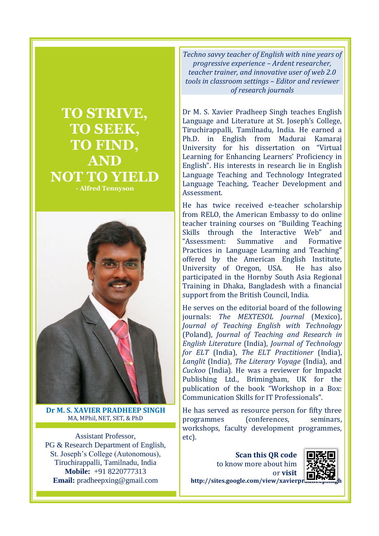



**Dr M. S. XAVIER PRADHEEP SINGH** MA, MPhil, NET, SET, & PhD

Assistant Professor, PG & Research Department of English, St. Joseph's College (Autonomous), Tiruchirappalli, Tamilnadu, India **Mobile:** +91 8220777313 **Email:** pradheepxing@gmail.com

*Techno savvy teacher of English with nine years of progressive experience – Ardent researcher, teacher trainer, and innovative user of web 2.0 tools in classroom settings – Editor and reviewer of research journals*

Dr M. S. Xavier Pradheep Singh teaches English Language and Literature at St. Joseph's College, Tiruchirappalli, Tamilnadu, India. He earned a Ph.D. in English from Madurai Kamaraj University for his dissertation on "Virtual Learning for Enhancing Learners' Proficiency in English". His interests in research lie in English Language Teaching and Technology Integrated Language Teaching, Teacher Development and Assessment.

He has twice received e-teacher scholarship from RELO, the American Embassy to do online teacher training courses on "Building Teaching Skills through the Interactive Web" and "Assessment: Summative and Formative Practices in Language Learning and Teaching" offered by the American English Institute, University of Oregon, USA. He has also participated in the Hornby South Asia Regional Training in Dhaka, Bangladesh with a financial support from the British Council, India.

He serves on the editorial board of the following journals: *The MEXTESOL Journal* (Mexico), *Journal of Teaching English with Technology* (Poland), *Journal of Teaching and Research in English Literature* (India), *Journal of Technology for ELT* (India), *The ELT Practitioner* (India), *Langlit* (India), *The Literary Voyage* (India), and *Cuckoo* (India). He was a reviewer for Impackt Publishing Ltd., Brimingham, UK for the publication of the book "Workshop in a Box: Communication Skills for IT Professionals".

He has served as resource person for fifty three programmes (conferences, seminars, workshops, faculty development programmes, etc).

> **Scan this QR code** to know more about him or **visit**



http://sites.google.com/view/xavierpr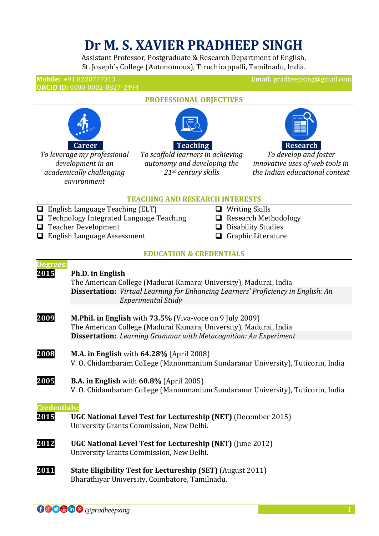# **Dr M. S. XAVIER PRADHEEP SINGH**

Assistant Professor, Postgraduate & Research Department of English, St. Joseph's College (Autonomous), Tiruchirappalli, Tamilnadu, India.

**ORCID ID:** 0000-0002-8827-2494

**Mobile:** +91 8220777313 **Email:** pradheepxing@gmail.com



*To leverage my professional development in an academically challenging environment*



**PROFESSIONAL OBJECTIVES**

*To scaffold learners in achieving autonomy and developing the 21st century skills*



*To develop and foster innovative uses of web tools in the Indian educational context*

#### **TEACHING AND RESEARCH INTERESTS**

- $\Box$  English Language Teaching (ELT)
- **Technology Integrated Language Teaching**
- **T** Teacher Development
- □ English Language Assessment
- **Q** Writing Skills
- **Q** Research Methodology
- $\Box$  Disability Studies
- Graphic Literature

# **EDUCATION & CREDENTIALS**

| Degrees:<br>2015            | Ph.D. in English<br>The American College (Madurai Kamaraj University), Madurai, India<br><b>Dissertation:</b> Virtual Learning for Enhancing Learners' Proficiency in English: An |
|-----------------------------|-----------------------------------------------------------------------------------------------------------------------------------------------------------------------------------|
|                             | <b>Experimental Study</b>                                                                                                                                                         |
| 2009                        | M.Phil. in English with 73.5% (Viva-voce on 9 July 2009)<br>The American College (Madurai Kamaraj University), Madurai, India                                                     |
|                             | <b>Dissertation:</b> Learning Grammar with Metacognition: An Experiment                                                                                                           |
| 2008                        | <b>M.A. in English</b> with 64.28% (April 2008)<br>V. O. Chidambaram College (Manonmanium Sundaranar University), Tuticorin, India                                                |
| 2005                        | <b>B.A. in English</b> with 60.8% (April 2005)<br>V. O. Chidambaram College (Manonmanium Sundaranar University), Tuticorin, India                                                 |
| <b>Credentials:</b><br>2015 | UGC National Level Test for Lectureship (NET) (December 2015)<br>University Grants Commission, New Delhi.                                                                         |
| 2012                        | UGC National Level Test for Lectureship (NET) (June 2012)<br>University Grants Commission, New Delhi.                                                                             |
| 2011                        | <b>State Eligibility Test for Lectureship (SET)</b> (August 2011)<br>Bharathiyar University, Coimbatore, Tamilnadu.                                                               |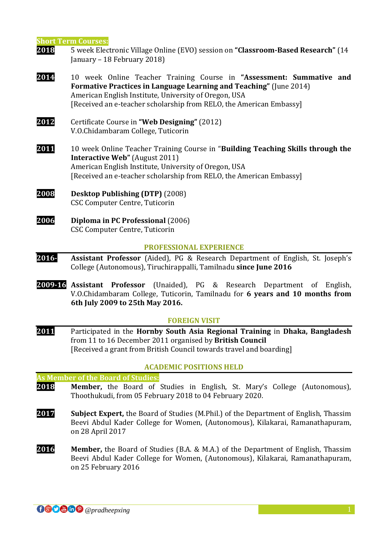**Short Term Courses:**

- **2018** 5 week Electronic Village Online (EVO) session on **"Classroom-Based Research"** (14 January – 18 February 2018)
- **2014** 10 week Online Teacher Training Course in **"Assessment: Summative and Formative Practices in Language Learning and Teaching"** (June 2014) American English Institute, University of Oregon, USA [Received an e-teacher scholarship from RELO, the American Embassy]
- **2012** Certificate Course in **"Web Designing"** (2012) V.O.Chidambaram College, Tuticorin
- **2011** 10 week Online Teacher Training Course in "**Building Teaching Skills through the Interactive Web"** (August 2011) American English Institute, University of Oregon, USA [Received an e-teacher scholarship from RELO, the American Embassy]
- **2008 Desktop Publishing (DTP)** (2008) CSC Computer Centre, Tuticorin
- **2006 Diploma in PC Professional** (2006) CSC Computer Centre, Tuticorin

#### **PROFESSIONAL EXPERIENCE**

- **2016- Assistant Professor** (Aided), PG & Research Department of English, St. Joseph's College (Autonomous), Tiruchirappalli, Tamilnadu **since June 2016**
- **2009-16 Assistant Professor** (Unaided), PG & Research Department of English, V.O.Chidambaram College, Tuticorin, Tamilnadu for **6 years and 10 months from 6th July 2009 to 25th May 2016.**

#### **FOREIGN VISIT**

**2011** Participated in the **Hornby South Asia Regional Training** in **Dhaka, Bangladesh**  from 11 to 16 December 2011 organised by **British Council** [Received a grant from British Council towards travel and boarding]

#### **ACADEMIC POSITIONS HELD**

**As Member of the Board of Studies:**

- **2018 Member,** the Board of Studies in English, St. Mary's College (Autonomous), Thoothukudi, from 05 February 2018 to 04 February 2020.
- **2017 Subject Expert,** the Board of Studies (M.Phil.) of the Department of English, Thassim Beevi Abdul Kader College for Women, (Autonomous), Kilakarai, Ramanathapuram, on 28 April 2017
- **2016 Member,** the Board of Studies (B.A. & M.A.) of the Department of English, Thassim Beevi Abdul Kader College for Women, (Autonomous), Kilakarai, Ramanathapuram, on 25 February 2016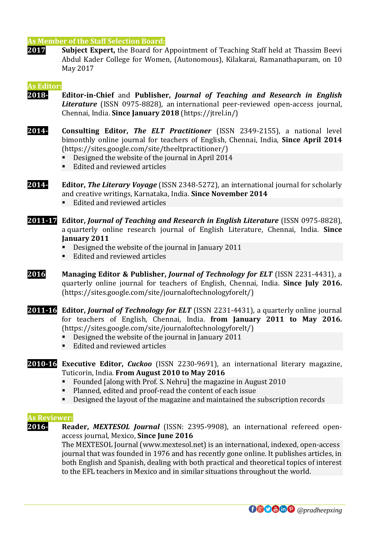# **As Member of the Staff Selection Board:**

**2017 Subject Expert,** the Board for Appointment of Teaching Staff held at Thassim Beevi Abdul Kader College for Women, (Autonomous), Kilakarai, Ramanathapuram, on 10 May 2017

#### **As Editor:**

- **2018- Editor-in-Chief** and **Publisher,** *Journal of Teaching and Research in English Literature* (ISSN 0975-8828), an international peer-reviewed open-access journal, Chennai, India. **Since January 2018** (https://jtrel.in/)
- **2014- Consulting Editor,** *The ELT Practitioner* (ISSN 2349-2155), a national level bimonthly online journal for teachers of English, Chennai, India, **Since April 2014** (https://sites.google.com/site/theeltpractitioner/)
	- Designed the website of the journal in April 2014
	- Edited and reviewed articles
- **2014- Editor,** *The Literary Voyage* (ISSN 2348-5272), an international journal for scholarly and creative writings, Karnataka, India. **Since November 2014**
	- Edited and reviewed articles
- **2011-17 Editor,** *Journal of Teaching and Research in English Literature* (ISSN 0975-8828), a quarterly online research journal of English Literature, Chennai, India. **Since January 2011**
	- Designed the website of the journal in January 2011
	- Edited and reviewed articles
- **2016 Managing Editor & Publisher,** *Journal of Technology for ELT* (ISSN 2231-4431), a quarterly online journal for teachers of English, Chennai, India. **Since July 2016.**  (https://sites.google.com/site/journaloftechnologyforelt/)
- **2011-16 Editor,** *Journal of Technology for ELT* (ISSN 2231-4431), a quarterly online journal for teachers of English, Chennai, India. **from January 2011 to May 2016.**  (https://sites.google.com/site/journaloftechnologyforelt/)
	- Designed the website of the journal in January 2011
	- Edited and reviewed articles

# **2010-16 Executive Editor,** *Cuckoo* (ISSN 2230-9691), an international literary magazine, Tuticorin, India. **From August 2010 to May 2016**

- Founded [along with Prof. S. Nehru] the magazine in August 2010
- Planned, edited and proof-read the content of each issue
- Designed the layout of the magazine and maintained the subscription records

#### **As Reviewer:**

**2016- Reader,** *MEXTESOL Journal* (ISSN: 2395-9908), an international refereed openaccess journal, Mexico, **Since June 2016**

> The MEXTESOL Journal (www.mextesol.net) is an international, indexed, open-access journal that was founded in 1976 and has recently gone online. It publishes articles, in both English and Spanish, dealing with both practical and theoretical topics of interest to the EFL teachers in Mexico and in similar situations throughout the world.

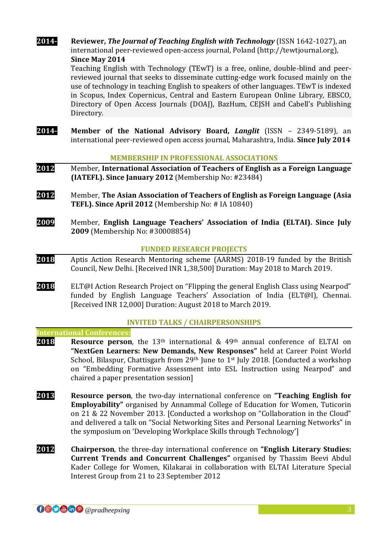**2014- Reviewer,** *The Journal of Teaching English with Technology* (ISSN 1642-1027), an international peer-reviewed open-access journal, Poland (http://tewtjournal.org), **Since May 2014**

> Teaching English with Technology (TEwT) is a free, online, double-blind and peerreviewed journal that seeks to disseminate cutting-edge work focused mainly on the use of technology in teaching English to speakers of other languages. TEwT is indexed in Scopus, Index Copernicus, Central and Eastern European Online Library, EBSCO, Directory of Open Access Journals (DOAJ), BazHum, CEJSH and Cabell's Publishing Directory.

**2014- Member of the National Advisory Board,** *Langlit* (ISSN – 2349-5189), an international peer-reviewed open access journal, Maharashtra, India. **Since July 2014**

# **MEMBERSHIP IN PROFESSIONAL ASSOCIATIONS**

- **2012** Member, **International Association of Teachers of English as a Foreign Language (IATEFL). Since January 2012** (Membership No: #23484)
- **2012** Member, **The Asian Association of Teachers of English as Foreign Language (Asia TEFL). Since April 2012** (Membership No: # IA 10840)
- **2009** Member, **English Language Teachers' Association of India (ELTAI). Since July 2009** (Membership No: #30008854)

# **FUNDED RESEARCH PROJECTS**

- **2018** Aptis Action Research Mentoring scheme (AARMS) 2018-19 funded by the British Council, New Delhi. [Received INR 1,38,500] Duration: May 2018 to March 2019.
- **2018** ELT@I Action Research Project on "Flipping the general English Class using Nearpod" funded by English Language Teachers' Association of India (ELT@I), Chennai. [Received INR 12,000] Duration: August 2018 to March 2019.

#### **INVITED TALKS / CHAIRPERSONSHIPS**

#### **International Conferences:**

- **2018 Resource person**, the 13<sup>th</sup> international & 49<sup>th</sup> annual conference of ELTAI on **"NextGen Learners: New Demands, New Responses"** held at Career Point World School, Bilaspur, Chattisgarh from 29<sup>th</sup> June to 1<sup>st</sup> July 2018. [Conducted a workshop on "Embedding Formative Assessment into ESL Instruction using Nearpod" and chaired a paper presentation session]
- **2013 Resource person**, the two-day international conference on **"Teaching English for Employability"** organised by Annammal College of Education for Women, Tuticorin on 21 & 22 November 2013. [Conducted a workshop on "Collaboration in the Cloud" and delivered a talk on "Social Networking Sites and Personal Learning Networks" in the symposium on 'Developing Workplace Skills through Technology']
- **2012 Chairperson**, the three-day international conference on **"English Literary Studies: Current Trends and Concurrent Challenges"** organised by Thassim Beevi Abdul Kader College for Women, Kilakarai in collaboration with ELTAI Literature Special Interest Group from 21 to 23 September 2012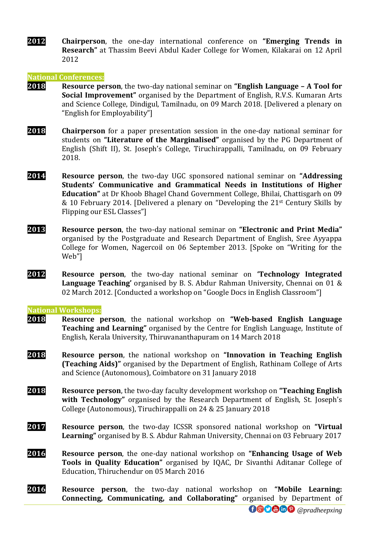**2012 Chairperson**, the one-day international conference on **"Emerging Trends in Research"** at Thassim Beevi Abdul Kader College for Women, Kilakarai on 12 April 2012

#### **National Conferences:**

- **2018 Resource person**, the two-day national seminar on **"English Language – A Tool for Social Improvement"** organised by the Department of English, R.V.S. Kumaran Arts and Science College, Dindigul, Tamilnadu, on 09 March 2018. [Delivered a plenary on "English for Employability"]
- **2018 Chairperson** for a paper presentation session in the one-day national seminar for students on **"Literature of the Marginalised"** organised by the PG Department of English (Shift II), St. Joseph's College, Tiruchirappalli, Tamilnadu, on 09 February 2018.
- **2014 Resource person**, the two-day UGC sponsored national seminar on **"Addressing Students' Communicative and Grammatical Needs in Institutions of Higher Education"** at Dr Khoob Bhagel Chand Government College, Bhilai, Chattisgarh on 09 & 10 February 2014. [Delivered a plenary on "Developing the 21st Century Skills by Flipping our ESL Classes"]
- **2013 Resource person**, the two-day national seminar on **"Electronic and Print Media"** organised by the Postgraduate and Research Department of English, Sree Ayyappa College for Women, Nagercoil on 06 September 2013. [Spoke on "Writing for the Web"]
- **2012 Resource person**, the two-day national seminar on **'Technology Integrated Language Teaching'** organised by B. S. Abdur Rahman University, Chennai on 01 & 02 March 2012. [Conducted a workshop on "Google Docs in English Classroom"]

#### **National Workshops:**

- **2018 Resource person**, the national workshop on **"Web-based English Language Teaching and Learning"** organised by the Centre for English Language, Institute of English, Kerala University, Thiruvananthapuram on 14 March 2018
- **2018 Resource person**, the national workshop on **"Innovation in Teaching English (Teaching Aids)"** organised by the Department of English, Rathinam College of Arts and Science (Autonomous), Coimbatore on 31 January 2018
- **2018 Resource person**, the two-day faculty development workshop on **"Teaching English with Technology"** organised by the Research Department of English, St. Joseph's College (Autonomous), Tiruchirappalli on 24 & 25 January 2018
- **2017 Resource person**, the two-day ICSSR sponsored national workshop on **"Virtual Learning"** organised by B. S. Abdur Rahman University, Chennai on 03 February 2017
- **2016 Resource person**, the one-day national workshop on **"Enhancing Usage of Web Tools in Quality Education"** organised by IQAC, Dr Sivanthi Aditanar College of Education, Thiruchendur on 05 March 2016
- **2016 Resource person**, the two-day national workshop on **"Mobile Learning: Connecting, Communicating, and Collaborating"** organised by Department of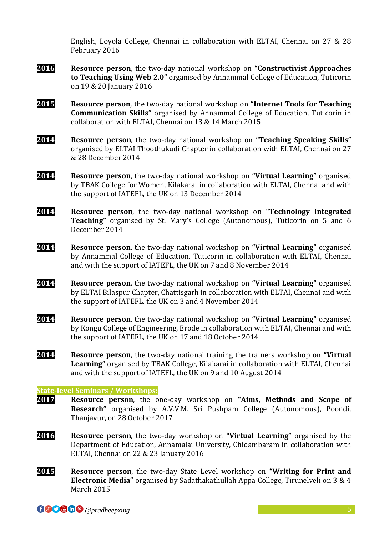English, Loyola College, Chennai in collaboration with ELTAI, Chennai on 27 & 28 February 2016

- **2016 Resource person**, the two-day national workshop on **"Constructivist Approaches to Teaching Using Web 2.0"** organised by Annammal College of Education, Tuticorin on 19 & 20 January 2016
- **2015 Resource person**, the two-day national workshop on **"Internet Tools for Teaching Communication Skills"** organised by Annammal College of Education, Tuticorin in collaboration with ELTAI, Chennai on 13 & 14 March 2015
- **2014 Resource person**, the two-day national workshop on **"Teaching Speaking Skills"** organised by ELTAI Thoothukudi Chapter in collaboration with ELTAI, Chennai on 27 & 28 December 2014
- **2014 Resource person**, the two-day national workshop on **"Virtual Learning"** organised by TBAK College for Women, Kilakarai in collaboration with ELTAI, Chennai and with the support of IATEFL, the UK on 13 December 2014
- **2014 Resource person**, the two-day national workshop on **"Technology Integrated Teaching"** organised by St. Mary's College (Autonomous), Tuticorin on 5 and 6 December 2014
- **2014 Resource person**, the two-day national workshop on **"Virtual Learning"** organised by Annammal College of Education, Tuticorin in collaboration with ELTAI, Chennai and with the support of IATEFL, the UK on 7 and 8 November 2014
- **2014 Resource person**, the two-day national workshop on **"Virtual Learning"** organised by ELTAI Bilaspur Chapter, Chattisgarh in collaboration with ELTAI, Chennai and with the support of IATEFL, the UK on 3 and 4 November 2014
- **2014 Resource person**, the two-day national workshop on **"Virtual Learning"** organised by Kongu College of Engineering, Erode in collaboration with ELTAI, Chennai and with the support of IATEFL, the UK on 17 and 18 October 2014
- **2014 Resource person**, the two-day national training the trainers workshop on **"Virtual Learning"** organised by TBAK College, Kilakarai in collaboration with ELTAI, Chennai and with the support of IATEFL, the UK on 9 and 10 August 2014

#### **State-level Seminars / Workshops:**

- **2017 Resource person**, the one-day workshop on **"Aims, Methods and Scope of Research"** organised by A.V.V.M. Sri Pushpam College (Autonomous), Poondi, Thanjavur, on 28 October 2017
- **2016 Resource person**, the two-day workshop on **"Virtual Learning"** organised by the Department of Education, Annamalai University, Chidambaram in collaboration with ELTAI, Chennai on 22 & 23 January 2016
- **2015 Resource person**, the two-day State Level workshop on **"Writing for Print and Electronic Media"** organised by Sadathakathullah Appa College, Tirunelveli on 3 & 4 March 2015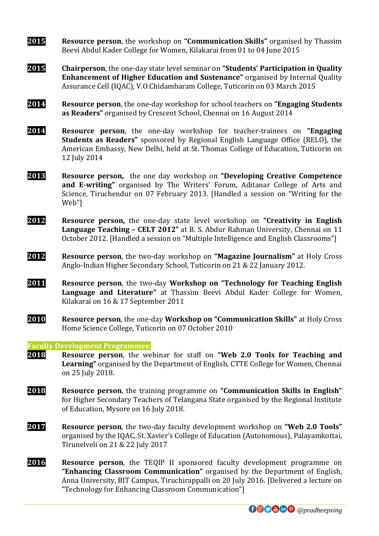- **2015 Resource person**, the workshop on **"Communication Skills"** organised by Thassim Beevi Abdul Kader College for Women, Kilakarai from 01 to 04 June 2015
- **2015 Chairperson**, the one-day state level seminar on **"Students' Participation in Quality Enhancement of Higher Education and Sustenance"** organised by Internal Quality Assurance Cell (IQAC), V.O.Chidambaram College, Tuticorin on 03 March 2015
- **2014 Resource person**, the one-day workshop for school teachers on **"Engaging Students as Readers"** organised by Crescent School, Chennai on 16 August 2014
- **2014 Resource person**, the one-day workshop for teacher-trainees on **"Engaging Students as Readers"** sponsored by Regional English Language Office (RELO), the American Embassy, New Delhi, held at St. Thomas College of Education, Tuticorin on 12 July 2014
- **2013 Resource person,** the one day workshop on **"Developing Creative Competence and E-writing"** organised by The Writers' Forum, Aditanar College of Arts and Science, Tiruchendur on 07 February 2013. [Handled a session on "Writing for the Web"]
- **2012 Resource person,** the one-day state level workshop on **"Creativity in English Language Teaching – CELT 2012"** at B. S. Abdur Rahman University, Chennai on 11 October 2012. [Handled a session on "Multiple Intelligence and English Classrooms"]
- **2012 Resource person**, the two-day workshop on **"Magazine Journalism"** at Holy Cross Anglo-Indian Higher Secondary School, Tuticorin on 21 & 22 January 2012.
- **2011 Resource person**, the two-day **Workshop on "Technology for Teaching English Language and Literature"** at Thassim Beevi Abdul Kader College for Women, Kilakarai on 16 & 17 September 2011
- **2010 Resource person**, the one-day **Workshop on "Communication Skills"** at Holy Cross Home Science College, Tuticorin on 07 October 2010

**Faculty Development Programmes:**

- **2018 Resource person**, the webinar for staff on **"Web 2.0 Tools for Teaching and Learning"** organised by the Department of English, CTTE College for Women, Chennai on 25 July 2018.
- **2018 Resource person**, the training programme on **"Communication Skills in English"** for Higher Secondary Teachers of Telangana State organised by the Regional Institute of Education, Mysore on 16 July 2018.
- **2017 Resource person**, the two-day faculty development workshop on **"Web 2.0 Tools"** organised by the IQAC, St. Xavier's College of Education (Autonomous), Palayamkottai, Tirunelveli on 21 & 22 July 2017
- **2016 Resource person**, the TEQIP II sponsored faculty development programme on **"Enhancing Classroom Communication"** organised by the Department of English, Anna University, BIT Campus, Tiruchirappalli on 20 July 2016. [Delivered a lecture on "Technology for Enhancing Classroom Communication"]

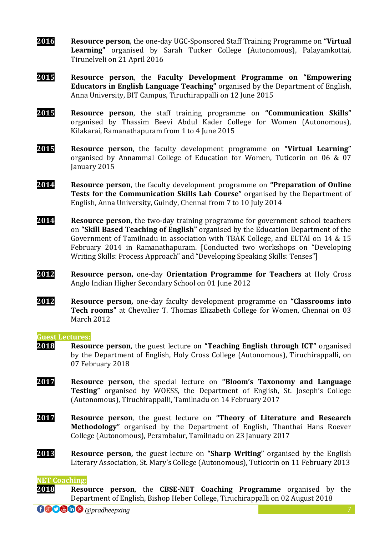- **2016 Resource person**, the one-day UGC-Sponsored Staff Training Programme on **"Virtual Learning"** organised by Sarah Tucker College (Autonomous), Palayamkottai, Tirunelveli on 21 April 2016
- **2015 Resource person**, the **Faculty Development Programme on "Empowering Educators in English Language Teaching"** organised by the Department of English, Anna University, BIT Campus, Tiruchirappalli on 12 June 2015
- **2015 Resource person**, the staff training programme on **"Communication Skills"** organised by Thassim Beevi Abdul Kader College for Women (Autonomous), Kilakarai, Ramanathapuram from 1 to 4 June 2015
- **2015 Resource person**, the faculty development programme on **"Virtual Learning"** organised by Annammal College of Education for Women, Tuticorin on 06 & 07 January 2015
- **2014 Resource person**, the faculty development programme on **"Preparation of Online Tests for the Communication Skills Lab Course"** organised by the Department of English, Anna University, Guindy, Chennai from 7 to 10 July 2014
- **2014 Resource person**, the two-day training programme for government school teachers on **"Skill Based Teaching of English"** organised by the Education Department of the Government of Tamilnadu in association with TBAK College, and ELTAI on 14 & 15 February 2014 in Ramanathapuram. [Conducted two workshops on "Developing Writing Skills: Process Approach" and "Developing Speaking Skills: Tenses"]
- **2012 Resource person,** one-day **Orientation Programme for Teachers** at Holy Cross Anglo Indian Higher Secondary School on 01 June 2012
- **2012 Resource person,** one-day faculty development programme on **"Classrooms into Tech rooms"** at Chevalier T. Thomas Elizabeth College for Women, Chennai on 03 March 2012

#### **Guest Lectures:**

- **2018 Resource person**, the guest lecture on **"Teaching English through ICT"** organised by the Department of English, Holy Cross College (Autonomous), Tiruchirappalli, on 07 February 2018
- **2017 Resource person**, the special lecture on **"Bloom's Taxonomy and Language Testing"** organised by WOESS, the Department of English, St. Joseph's College (Autonomous), Tiruchirappalli, Tamilnadu on 14 February 2017
- **2017 Resource person**, the guest lecture on **"Theory of Literature and Research Methodology"** organised by the Department of English, Thanthai Hans Roever College (Autonomous), Perambalur, Tamilnadu on 23 January 2017
- **2013 Resource person,** the guest lecture on **"Sharp Writing"** organised by the English Literary Association, St. Mary's College (Autonomous), Tuticorin on 11 February 2013

#### **NET Coaching:**

**2018 Resource person**, the **CBSE-NET Coaching Programme** organised by the Department of English, Bishop Heber College, Tiruchirappalli on 02 August 2018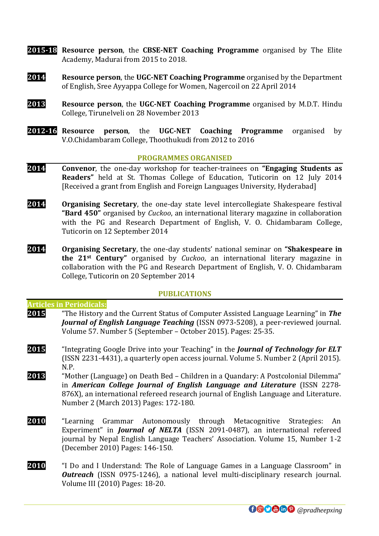- **2015-18 Resource person**, the **CBSE-NET Coaching Programme** organised by The Elite Academy, Madurai from 2015 to 2018.
- **2014 Resource person**, the **UGC-NET Coaching Programme** organised by the Department of English, Sree Ayyappa College for Women, Nagercoil on 22 April 2014
- **2013 Resource person**, the **UGC-NET Coaching Programme** organised by M.D.T. Hindu College, Tirunelveli on 28 November 2013
- **2012-16 Resource person**, the **UGC-NET Coaching Programme** organised by V.O.Chidambaram College, Thoothukudi from 2012 to 2016

#### **PROGRAMMES ORGANISED**

- **2014 Convenor**, the one-day workshop for teacher-trainees on **"Engaging Students as Readers"** held at St. Thomas College of Education, Tuticorin on 12 July 2014 [Received a grant from English and Foreign Languages University, Hyderabad]
- **2014 Organising Secretary**, the one-day state level intercollegiate Shakespeare festival **"Bard 450"** organised by *Cuckoo*, an international literary magazine in collaboration with the PG and Research Department of English, V. O. Chidambaram College, Tuticorin on 12 September 2014
- **2014 Organising Secretary**, the one-day students' national seminar on **"Shakespeare in the 21st Century"** organised by *Cuckoo*, an international literary magazine in collaboration with the PG and Research Department of English, V. O. Chidambaram College, Tuticorin on 20 September 2014

#### **PUBLICATIONS**

# **Articles in Periodicals:**

- **2015** "The History and the Current Status of Computer Assisted Language Learning" in *The Journal of English Language Teaching* (ISSN 0973-5208), a peer-reviewed journal. Volume 57. Number 5 (September – October 2015). Pages: 25-35.
- **2015** "Integrating Google Drive into your Teaching" in the *Journal of Technology for ELT* (ISSN 2231-4431), a quarterly open access journal. Volume 5. Number 2 (April 2015). N.P.
- **2013** "Mother (Language) on Death Bed Children in a Quandary: A Postcolonial Dilemma" in *American College Journal of English Language and Literature* (ISSN 2278- 876X), an international refereed research journal of English Language and Literature. Number 2 (March 2013) Pages: 172-180.
- **2010** "Learning Grammar Autonomously through Metacognitive Strategies: An Experiment" in *Journal of NELTA* (ISSN 2091-0487), an international refereed journal by Nepal English Language Teachers' Association. Volume 15, Number 1-2 (December 2010) Pages: 146-150.
- **2010** "I Do and I Understand: The Role of Language Games in a Language Classroom" in *Outreach* (ISSN 0975-1246), a national level multi-disciplinary research journal. Volume III (2010) Pages: 18-20.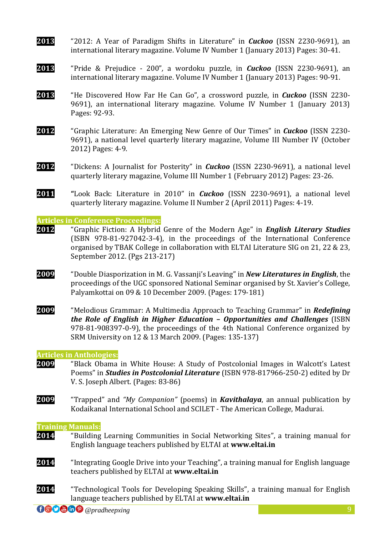- **2013** "2012: A Year of Paradigm Shifts in Literature" in *Cuckoo* (ISSN 2230-9691), an international literary magazine. Volume IV Number 1 (January 2013) Pages: 30-41.
- **2013** "Pride & Prejudice 200"*,* a wordoku puzzle, in *Cuckoo* (ISSN 2230-9691), an international literary magazine. Volume IV Number 1 (January 2013) Pages: 90-91.
- **2013** "He Discovered How Far He Can Go"*,* a crossword puzzle, in *Cuckoo* (ISSN 2230- 9691), an international literary magazine. Volume IV Number 1 (January 2013) Pages: 92-93.
- **2012** "Graphic Literature: An Emerging New Genre of Our Times" in *Cuckoo* (ISSN 2230- 9691), a national level quarterly literary magazine, Volume III Number IV (October 2012) Pages: 4-9.
- **2012** "Dickens: A Journalist for Posterity" in *Cuckoo* (ISSN 2230-9691), a national level quarterly literary magazine, Volume III Number 1 (February 2012) Pages: 23-26.
- **2011 "**Look Back: Literature in 2010" in *Cuckoo* (ISSN 2230-9691), a national level quarterly literary magazine. Volume II Number 2 (April 2011) Pages: 4-19.

**Articles in Conference Proceedings:**

- **2012** "Graphic Fiction: A Hybrid Genre of the Modern Age" in *English Literary Studies* (ISBN 978-81-927042-3-4), in the proceedings of the International Conference organised by TBAK College in collaboration with ELTAI Literature SIG on 21, 22 & 23, September 2012. (Pgs 213-217)
- **2009** "Double Diasporization in M. G. Vassanji's Leaving" in *New Literatures in English*, the proceedings of the UGC sponsored National Seminar organised by St. Xavier's College, Palyamkottai on 09 & 10 December 2009. (Pages: 179-181)
- **2009** "Melodious Grammar: A Multimedia Approach to Teaching Grammar" in *Redefining the Role of English in Higher Education – Opportunities and Challenges* (ISBN 978-81-908397-0-9), the proceedings of the 4th National Conference organized by SRM University on 12 & 13 March 2009. (Pages: 135-137)

#### **Articles in Anthologies:**

- **2009** "Black Obama in White House: A Study of Postcolonial Images in Walcott's Latest Poems" in *Studies in Postcolonial Literature* (ISBN 978-817966-250-2) edited by Dr V. S. Joseph Albert. (Pages: 83-86)
- **2009** "Trapped" and *"My Companion"* (poems) in *Kavithalaya*, an annual publication by Kodaikanal International School and SCILET - The American College, Madurai.

#### **Training Manuals:**

- **2014** "Building Learning Communities in Social Networking Sites", a training manual for English language teachers published by ELTAI at **www.eltai.in**
- **2014** "Integrating Google Drive into your Teaching", a training manual for English language teachers published by ELTAI at **www.eltai.in**
- **2014** "Technological Tools for Developing Speaking Skills", a training manual for English language teachers published by ELTAI at **www.eltai.in**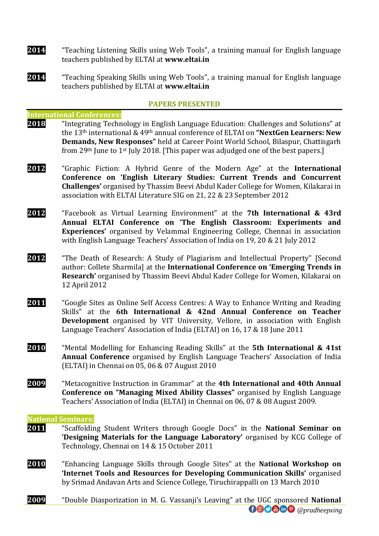- **2014** "Teaching Listening Skills using Web Tools", a training manual for English language teachers published by ELTAI at **www.eltai.in**
- **2014** "Teaching Speaking Skills using Web Tools", a training manual for English language teachers published by ELTAI at **www.eltai.in**

#### **PAPERS PRESENTED**

#### **International Conferences:**

- **2018** "Integrating Technology in English Language Education: Challenges and Solutions" at the 13th international & 49th annual conference of ELTAI on **"NextGen Learners: New Demands, New Responses"** held at Career Point World School, Bilaspur, Chattisgarh from 29<sup>th</sup> June to 1<sup>st</sup> July 2018. [This paper was adjudged one of the best papers.]
- **2012** "Graphic Fiction: A Hybrid Genre of the Modern Age" at the **International Conference on 'English Literary Studies: Current Trends and Concurrent Challenges'** organised by Thassim Beevi Abdul Kader College for Women, Kilakarai in association with ELTAI Literature SIG on 21, 22 & 23 September 2012
- **2012** "Facebook as Virtual Learning Environment" at the **7th International & 43rd Annual ELTAI Conference on 'The English Classroom: Experiments and Experiences'** organised by Velammal Engineering College, Chennai in association with English Language Teachers' Association of India on 19, 20 & 21 July 2012
- **2012** "The Death of Research: A Study of Plagiarism and Intellectual Property" [Second author: Collete Sharmila] at the **International Conference on 'Emerging Trends in Research'** organised by Thassim Beevi Abdul Kader College for Women, Kilakarai on 12 April 2012
- **2011** "Google Sites as Online Self Access Centres: A Way to Enhance Writing and Reading Skills" at the **6th International & 42nd Annual Conference on Teacher Development** organised by VIT University, Vellore, in association with English Language Teachers' Association of India (ELTAI) on 16, 17 & 18 June 2011
- **2010** "Mental Modelling for Enhancing Reading Skills" at the **5th International & 41st Annual Conference** organised by English Language Teachers' Association of India (ELTAI) in Chennai on 05, 06 & 07 August 2010
- **2009** "Metacognitive Instruction in Grammar" at the **4th International and 40th Annual Conference on "Managing Mixed Ability Classes"** organised by English Language Teachers' Association of India (ELTAI) in Chennai on 06, 07 & 08 August 2009.

#### **National Seminars:**

- **2011** "Scaffolding Student Writers through Google Docs" in the **National Seminar on 'Designing Materials for the Language Laboratory'** organised by KCG College of Technology, Chennai on 14 & 15 October 2011
- **2010** "Enhancing Language Skills through Google Sites" at the **National Workshop on 'Internet Tools and Resources for Developing Communication Skills'** organised by Srimad Andavan Arts and Science College, Tiruchirappalli on 13 March 2010
- **000 @DP** @pradheepxing **2009** "Double Diasporization in M. G. Vassanji's Leaving" at the UGC sponsored **National**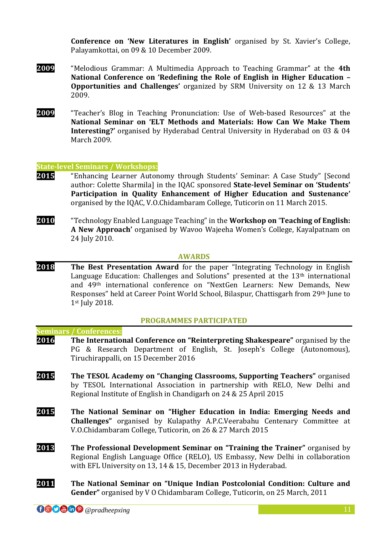**Conference on 'New Literatures in English'** organised by St. Xavier's College, Palayamkottai, on 09 & 10 December 2009.

- **2009** "Melodious Grammar: A Multimedia Approach to Teaching Grammar" at the **4th National Conference on 'Redefining the Role of English in Higher Education – Opportunities and Challenges'** organized by SRM University on 12 & 13 March 2009.
- **2009** "Teacher's Blog in Teaching Pronunciation: Use of Web-based Resources" at the **National Seminar on 'ELT Methods and Materials: How Can We Make Them Interesting?'** organised by Hyderabad Central University in Hyderabad on 03 & 04 March 2009.

#### **State-level Seminars / Workshops:**

- **2015** "Enhancing Learner Autonomy through Students' Seminar: A Case Study" [Second author: Colette Sharmila] in the IQAC sponsored **State-level Seminar on 'Students' Participation in Quality Enhancement of Higher Education and Sustenance'** organised by the IQAC, V.O.Chidambaram College, Tuticorin on 11 March 2015.
- **2010** "Technology Enabled Language Teaching" in the **Workshop on** '**Teaching of English: A New Approach'** organised by Wavoo Wajeeha Women's College, Kayalpatnam on 24 July 2010.

#### **AWARDS**

**2018 The Best Presentation Award** for the paper "Integrating Technology in English Language Education: Challenges and Solutions" presented at the 13<sup>th</sup> international and 49th international conference on "NextGen Learners: New Demands, New Responses" held at Career Point World School, Bilaspur, Chattisgarh from 29th June to 1st July 2018.

#### **PROGRAMMES PARTICIPATED**

# **Seminars / Conferences: 2016 The International Conference on "Reinterpreting Shakespeare"** organised by the PG & Research Department of English, St. Joseph's College (Autonomous), Tiruchirappalli, on 15 December 2016

- **2015 The TESOL Academy on "Changing Classrooms, Supporting Teachers"** organised by TESOL International Association in partnership with RELO, New Delhi and Regional Institute of English in Chandigarh on 24 & 25 April 2015
- **2015 The National Seminar on "Higher Education in India: Emerging Needs and Challenges"** organised by Kulapathy A.P.C.Veerabahu Centenary Committee at V.O.Chidambaram College, Tuticorin, on 26 & 27 March 2015
- **2013 The Professional Development Seminar on "Training the Trainer"** organised by Regional English Language Office (RELO), US Embassy, New Delhi in collaboration with EFL University on 13, 14 & 15, December 2013 in Hyderabad.
- **2011 The National Seminar on "Unique Indian Postcolonial Condition: Culture and Gender"** organised by V O Chidambaram College, Tuticorin, on 25 March, 2011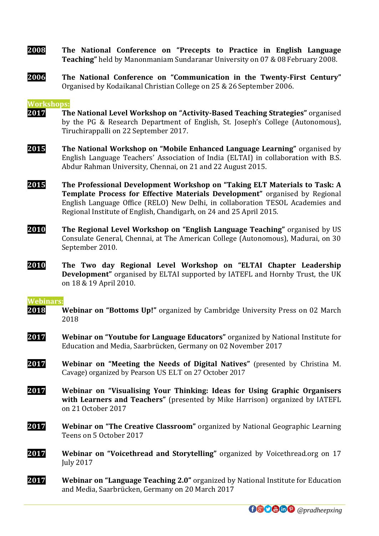- **2008 The National Conference on "Precepts to Practice in English Language Teaching"** held by Manonmaniam Sundaranar University on 07 & 08 February 2008.
- **2006 The National Conference on "Communication in the Twenty-First Century"** Organised by Kodaikanal Christian College on 25 & 26 September 2006.

#### **Workshops:**

- **2017 The National Level Workshop on "Activity-Based Teaching Strategies"** organised by the PG & Research Department of English, St. Joseph's College (Autonomous), Tiruchirappalli on 22 September 2017.
- **2015 The National Workshop on "Mobile Enhanced Language Learning"** organised by English Language Teachers' Association of India (ELTAI) in collaboration with B.S. Abdur Rahman University, Chennai, on 21 and 22 August 2015.
- **2015 The Professional Development Workshop on "Taking ELT Materials to Task: A Template Process for Effective Materials Development"** organised by Regional English Language Office (RELO) New Delhi, in collaboration TESOL Academies and Regional Institute of English, Chandigarh, on 24 and 25 April 2015.
- **2010 The Regional Level Workshop on "English Language Teaching"** organised by US Consulate General, Chennai, at The American College (Autonomous), Madurai, on 30 September 2010.
- **2010 The Two day Regional Level Workshop on "ELTAI Chapter Leadership Development"** organised by ELTAI supported by IATEFL and Hornby Trust, the UK on 18 & 19 April 2010.

#### **Webinars:**

- **2018 Webinar on "Bottoms Up!"** organized by Cambridge University Press on 02 March 2018
- **2017 Webinar on "Youtube for Language Educators"** organized by National Institute for Education and Media, Saarbrücken, Germany on 02 November 2017
- **2017 Webinar on "Meeting the Needs of Digital Natives"** (presented by Christina M. Cavage) organized by Pearson US ELT on 27 October 2017
- **2017 Webinar on "Visualising Your Thinking: Ideas for Using Graphic Organisers with Learners and Teachers"** (presented by Mike Harrison) organized by IATEFL on 21 October 2017
- **2017 Webinar on "The Creative Classroom"** organized by National Geographic Learning Teens on 5 October 2017
- **2017 Webinar on "Voicethread and Storytelling"** organized by Voicethread.org on 17 July 2017
- **2017 Webinar on "Language Teaching 2.0"** organized by National Institute for Education and Media, Saarbrücken, Germany on 20 March 2017